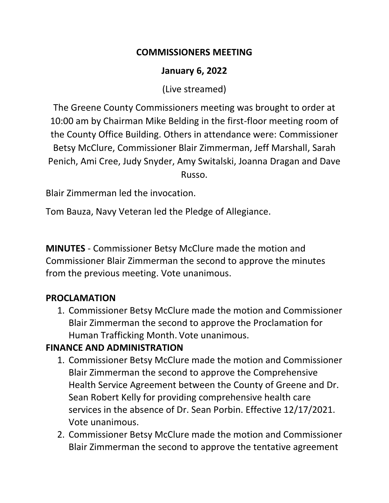#### **COMMISSIONERS MEETING**

#### **January 6, 2022**

(Live streamed)

The Greene County Commissioners meeting was brought to order at 10:00 am by Chairman Mike Belding in the first-floor meeting room of the County Office Building. Others in attendance were: Commissioner Betsy McClure, Commissioner Blair Zimmerman, Jeff Marshall, Sarah Penich, Ami Cree, Judy Snyder, Amy Switalski, Joanna Dragan and Dave Russo.

Blair Zimmerman led the invocation.

Tom Bauza, Navy Veteran led the Pledge of Allegiance.

**MINUTES** - Commissioner Betsy McClure made the motion and Commissioner Blair Zimmerman the second to approve the minutes from the previous meeting. Vote unanimous.

## **PROCLAMATION**

1. Commissioner Betsy McClure made the motion and Commissioner Blair Zimmerman the second to approve the Proclamation for Human Trafficking Month. Vote unanimous.

## **FINANCE AND ADMINISTRATION**

- 1. Commissioner Betsy McClure made the motion and Commissioner Blair Zimmerman the second to approve the Comprehensive Health Service Agreement between the County of Greene and Dr. Sean Robert Kelly for providing comprehensive health care services in the absence of Dr. Sean Porbin. Effective 12/17/2021. Vote unanimous.
- 2. Commissioner Betsy McClure made the motion and Commissioner Blair Zimmerman the second to approve the tentative agreement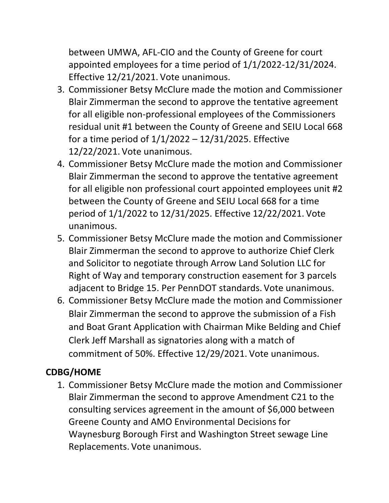between UMWA, AFL-CIO and the County of Greene for court appointed employees for a time period of 1/1/2022-12/31/2024. Effective 12/21/2021. Vote unanimous.

- 3. Commissioner Betsy McClure made the motion and Commissioner Blair Zimmerman the second to approve the tentative agreement for all eligible non-professional employees of the Commissioners residual unit #1 between the County of Greene and SEIU Local 668 for a time period of 1/1/2022 – 12/31/2025. Effective 12/22/2021. Vote unanimous.
- 4. Commissioner Betsy McClure made the motion and Commissioner Blair Zimmerman the second to approve the tentative agreement for all eligible non professional court appointed employees unit #2 between the County of Greene and SEIU Local 668 for a time period of 1/1/2022 to 12/31/2025. Effective 12/22/2021. Vote unanimous.
- 5. Commissioner Betsy McClure made the motion and Commissioner Blair Zimmerman the second to approve to authorize Chief Clerk and Solicitor to negotiate through Arrow Land Solution LLC for Right of Way and temporary construction easement for 3 parcels adjacent to Bridge 15. Per PennDOT standards. Vote unanimous.
- 6. Commissioner Betsy McClure made the motion and Commissioner Blair Zimmerman the second to approve the submission of a Fish and Boat Grant Application with Chairman Mike Belding and Chief Clerk Jeff Marshall as signatories along with a match of commitment of 50%. Effective 12/29/2021. Vote unanimous.

## **CDBG/HOME**

1. Commissioner Betsy McClure made the motion and Commissioner Blair Zimmerman the second to approve Amendment C21 to the consulting services agreement in the amount of \$6,000 between Greene County and AMO Environmental Decisions for Waynesburg Borough First and Washington Street sewage Line Replacements. Vote unanimous.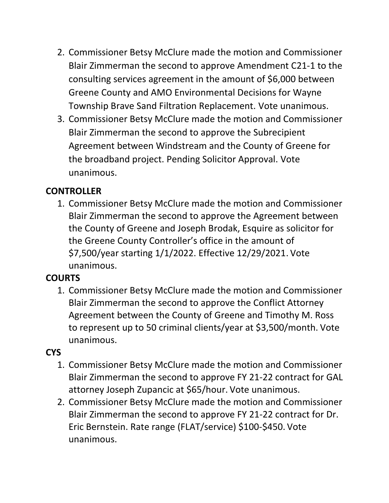- 2. Commissioner Betsy McClure made the motion and Commissioner Blair Zimmerman the second to approve Amendment C21-1 to the consulting services agreement in the amount of \$6,000 between Greene County and AMO Environmental Decisions for Wayne Township Brave Sand Filtration Replacement. Vote unanimous.
- 3. Commissioner Betsy McClure made the motion and Commissioner Blair Zimmerman the second to approve the Subrecipient Agreement between Windstream and the County of Greene for the broadband project. Pending Solicitor Approval. Vote unanimous.

## **CONTROLLER**

1. Commissioner Betsy McClure made the motion and Commissioner Blair Zimmerman the second to approve the Agreement between the County of Greene and Joseph Brodak, Esquire as solicitor for the Greene County Controller's office in the amount of \$7,500/year starting 1/1/2022. Effective 12/29/2021. Vote unanimous.

## **COURTS**

1. Commissioner Betsy McClure made the motion and Commissioner Blair Zimmerman the second to approve the Conflict Attorney Agreement between the County of Greene and Timothy M. Ross to represent up to 50 criminal clients/year at \$3,500/month. Vote unanimous.

## **CYS**

- 1. Commissioner Betsy McClure made the motion and Commissioner Blair Zimmerman the second to approve FY 21-22 contract for GAL attorney Joseph Zupancic at \$65/hour. Vote unanimous.
- 2. Commissioner Betsy McClure made the motion and Commissioner Blair Zimmerman the second to approve FY 21-22 contract for Dr. Eric Bernstein. Rate range (FLAT/service) \$100-\$450. Vote unanimous.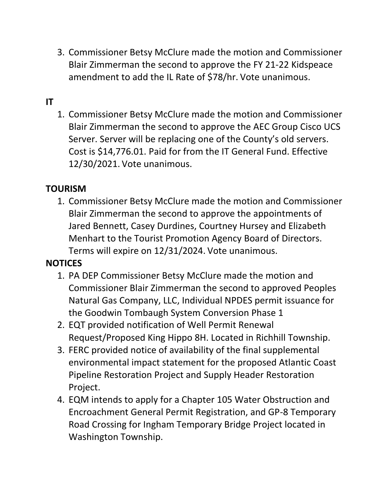3. Commissioner Betsy McClure made the motion and Commissioner Blair Zimmerman the second to approve the FY 21-22 Kidspeace amendment to add the IL Rate of \$78/hr. Vote unanimous.

## **IT**

1. Commissioner Betsy McClure made the motion and Commissioner Blair Zimmerman the second to approve the AEC Group Cisco UCS Server. Server will be replacing one of the County's old servers. Cost is \$14,776.01. Paid for from the IT General Fund. Effective 12/30/2021. Vote unanimous.

#### **TOURISM**

1. Commissioner Betsy McClure made the motion and Commissioner Blair Zimmerman the second to approve the appointments of Jared Bennett, Casey Durdines, Courtney Hursey and Elizabeth Menhart to the Tourist Promotion Agency Board of Directors. Terms will expire on 12/31/2024. Vote unanimous.

#### **NOTICES**

- 1. PA DEP Commissioner Betsy McClure made the motion and Commissioner Blair Zimmerman the second to approved Peoples Natural Gas Company, LLC, Individual NPDES permit issuance for the Goodwin Tombaugh System Conversion Phase 1
- 2. EQT provided notification of Well Permit Renewal Request/Proposed King Hippo 8H. Located in Richhill Township.
- 3. FERC provided notice of availability of the final supplemental environmental impact statement for the proposed Atlantic Coast Pipeline Restoration Project and Supply Header Restoration Project.
- 4. EQM intends to apply for a Chapter 105 Water Obstruction and Encroachment General Permit Registration, and GP-8 Temporary Road Crossing for Ingham Temporary Bridge Project located in Washington Township.